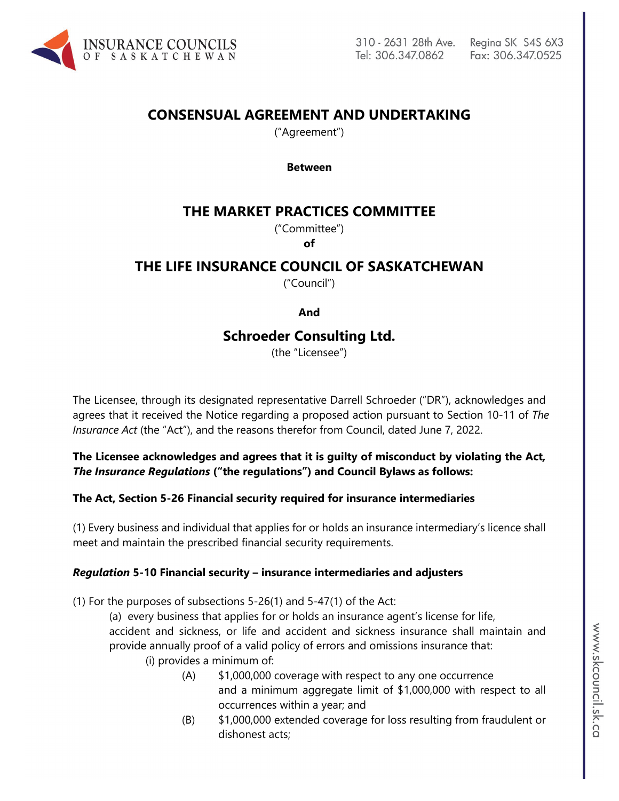

# **CONSENSUAL AGREEMENT AND UNDERTAKING**

("Agreement")

**Between**

## **THE MARKET PRACTICES COMMITTEE**

("Committee")

**of**

## **THE LIFE INSURANCE COUNCIL OF SASKATCHEWAN**

("Council")

#### **And**

## **Schroeder Consulting Ltd.**

(the "Licensee")

The Licensee, through its designated representative Darrell Schroeder ("DR"), acknowledges and agrees that it received the Notice regarding a proposed action pursuant to Section 10-11 of *The Insurance Act* (the "Act"), and the reasons therefor from Council, dated June 7, 2022.

### **The Licensee acknowledges and agrees that it is guilty of misconduct by violating the Act***, The Insurance Regulations* **("the regulations") and Council Bylaws as follows:**

#### **The Act, Section 5-26 Financial security required for insurance intermediaries**

(1) Every business and individual that applies for or holds an insurance intermediary's licence shall meet and maintain the prescribed financial security requirements.

#### *Regulation* **5-10 Financial security – insurance intermediaries and adjusters**

(1) For the purposes of subsections 5-26(1) and 5-47(1) of the Act:

(a) every business that applies for or holds an insurance agent's license for life, accident and sickness, or life and accident and sickness insurance shall maintain and provide annually proof of a valid policy of errors and omissions insurance that:

- (i) provides a minimum of:
	- (A) \$1,000,000 coverage with respect to any one occurrence and a minimum aggregate limit of \$1,000,000 with respect to all occurrences within a year; and
	- (B) \$1,000,000 extended coverage for loss resulting from fraudulent or dishonest acts;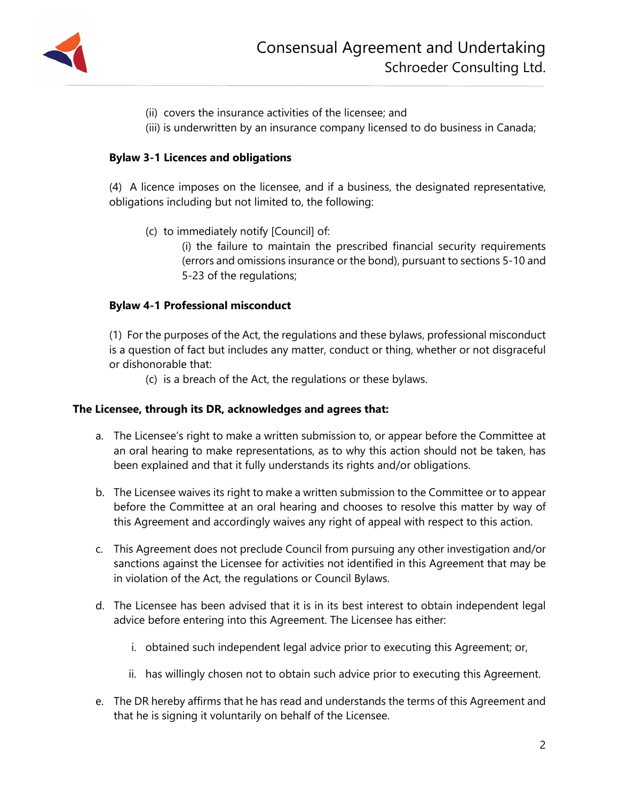

- (ii) covers the insurance activities of the licensee; and
- (iii) is underwritten by an insurance company licensed to do business in Canada;

#### **Bylaw 3-1 Licences and obligations**

(4) A licence imposes on the licensee, and if a business, the designated representative, obligations including but not limited to, the following:

(c) to immediately notify [Council] of:

(i) the failure to maintain the prescribed financial security requirements (errors and omissions insurance or the bond), pursuant to sections 5-10 and 5-23 of the regulations;

#### **Bylaw 4-1 Professional misconduct**

(1) For the purposes of the Act, the regulations and these bylaws, professional misconduct is a question of fact but includes any matter, conduct or thing, whether or not disgraceful or dishonorable that:

(c) is a breach of the Act, the regulations or these bylaws.

#### **The Licensee, through its DR, acknowledges and agrees that:**

- a. The Licensee's right to make a written submission to, or appear before the Committee at an oral hearing to make representations, as to why this action should not be taken, has been explained and that it fully understands its rights and/or obligations.
- b. The Licensee waives its right to make a written submission to the Committee or to appear before the Committee at an oral hearing and chooses to resolve this matter by way of this Agreement and accordingly waives any right of appeal with respect to this action.
- c. This Agreement does not preclude Council from pursuing any other investigation and/or sanctions against the Licensee for activities not identified in this Agreement that may be in violation of the Act, the regulations or Council Bylaws.
- d. The Licensee has been advised that it is in its best interest to obtain independent legal advice before entering into this Agreement. The Licensee has either:
	- i. obtained such independent legal advice prior to executing this Agreement; or,
	- ii. has willingly chosen not to obtain such advice prior to executing this Agreement.
- e. The DR hereby affirms that he has read and understands the terms of this Agreement and that he is signing it voluntarily on behalf of the Licensee.